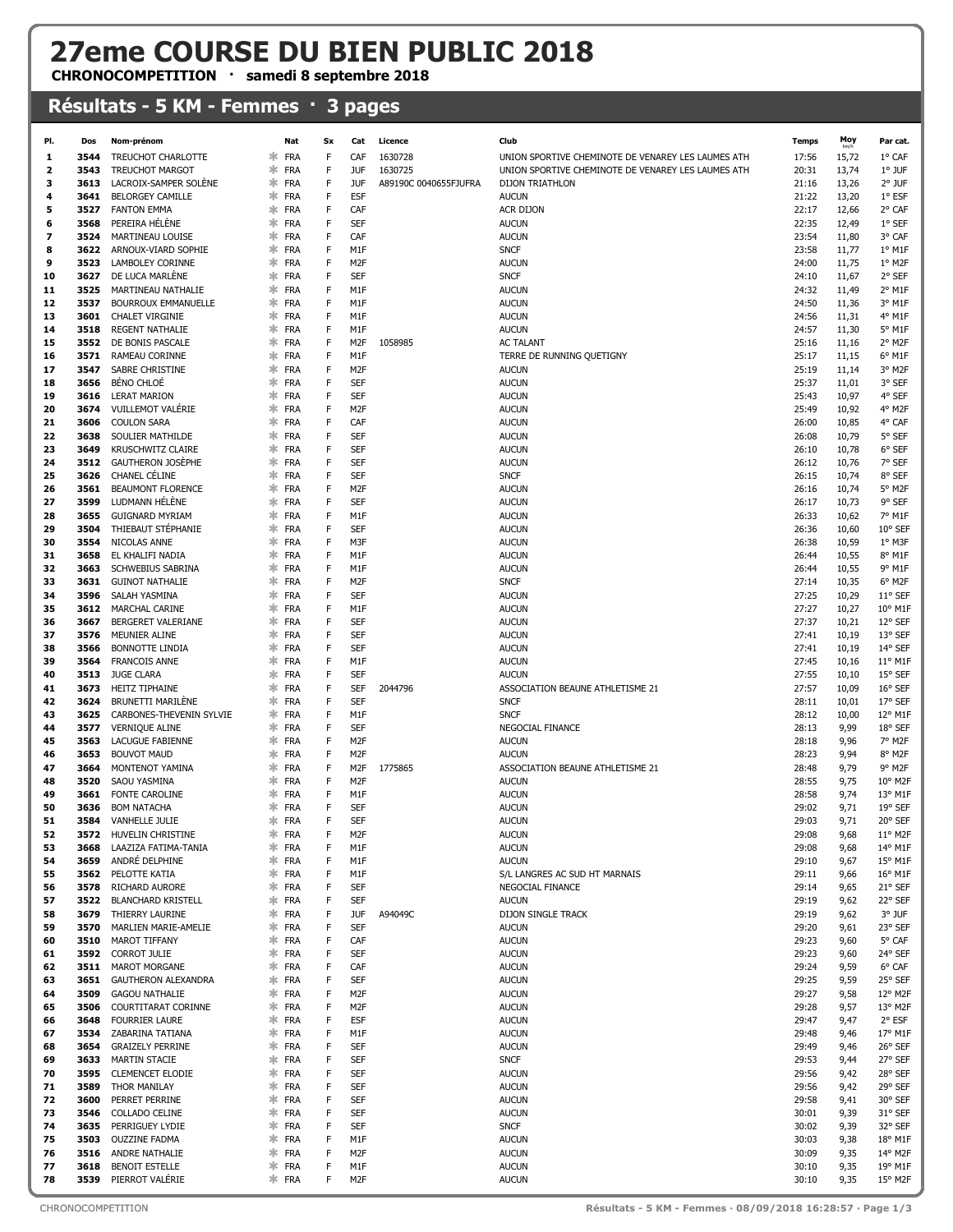## 27eme COURSE DU BIEN PUBLIC 2018

CHRONOCOMPETITION · samedi 8 septembre 2018

## Résultats - 5 KM - Femmes · 3 pages

| PI.            | Dos          | Nom-prénom                                  |             | Nat                   | Sx     | Cat                      | Licence               | Club                                               | <b>Temps</b>   | Moy            | Par cat.                             |
|----------------|--------------|---------------------------------------------|-------------|-----------------------|--------|--------------------------|-----------------------|----------------------------------------------------|----------------|----------------|--------------------------------------|
| 1              | 3544         | TREUCHOT CHARLOTTE                          | *           | FRA                   | F      | CAF                      | 1630728               | UNION SPORTIVE CHEMINOTE DE VENAREY LES LAUMES ATH | 17:56          | 15,72          | 1° CAF                               |
| $\overline{2}$ | 3543         | <b>TREUCHOT MARGOT</b>                      | *           | FRA                   | F      | <b>JUF</b>               | 1630725               | UNION SPORTIVE CHEMINOTE DE VENAREY LES LAUMES ATH | 20:31          | 13,74          | 1° JUF                               |
| з              | 3613         | LACROIX-SAMPER SOLÈNE                       | *           | FRA                   | F      | <b>JUF</b>               | A89190C 0040655FJUFRA | <b>DIJON TRIATHLON</b>                             | 21:16          | 13,26          | $2°$ JUF                             |
| 4              | 3641         | <b>BELORGEY CAMILLE</b>                     | *           | FRA                   | F      | <b>ESF</b>               |                       | <b>AUCUN</b>                                       | 21:22          | 13,20          | 1° ESF                               |
| 5              | 3527         | <b>FANTON EMMA</b>                          | $\ast$      | FRA                   | F      | CAF                      |                       | ACR DIJON                                          | 22:17          | 12,66          | 2° CAF                               |
| 6              | 3568         | PEREIRA HÉLÈNE                              | *           | FRA                   | F      | SEF                      |                       | <b>AUCUN</b>                                       | 22:35          | 12,49          | 1° SEF                               |
| 7              | 3524         | MARTINEAU LOUISE                            | *<br>*      | <b>FRA</b>            | F      | CAF                      |                       | <b>AUCUN</b>                                       | 23:54          | 11,80          | 3° CAF                               |
| 8<br>9         | 3622<br>3523 | ARNOUX-VIARD SOPHIE<br>LAMBOLEY CORINNE     | *           | FRA<br>FRA            | F<br>F | M1F<br>M <sub>2F</sub>   |                       | <b>SNCF</b><br><b>AUCUN</b>                        | 23:58<br>24:00 | 11,77<br>11,75 | $1^{\circ}$ M1F<br>1° M2F            |
| 10             | 3627         | DE LUCA MARLÈNE                             | *           | FRA                   | F      | SEF                      |                       | <b>SNCF</b>                                        | 24:10          | 11,67          | 2° SEF                               |
| 11             | 3525         | MARTINEAU NATHALIE                          | *           | <b>FRA</b>            | F      | M1F                      |                       | <b>AUCUN</b>                                       | 24:32          | 11,49          | 2° M1F                               |
| 12             | 3537         | <b>BOURROUX EMMANUELLE</b>                  | *           | FRA                   | F      | M1F                      |                       | <b>AUCUN</b>                                       | 24:50          | 11,36          | 3° M1F                               |
| 13             | 3601         | <b>CHALET VIRGINIE</b>                      | *           | FRA                   | F      | M1F                      |                       | <b>AUCUN</b>                                       | 24:56          | 11,31          | 4° M1F                               |
| 14             | 3518         | <b>REGENT NATHALIE</b>                      |             | $*$ FRA               | F      | M1F                      |                       | <b>AUCUN</b>                                       | 24:57          | 11,30          | 5° M1F                               |
| 15             |              | 3552 DE BONIS PASCALE                       | *           | FRA                   | F      | M <sub>2</sub> F         | 1058985               | <b>AC TALANT</b>                                   | 25:16          | 11,16          | 2° M2F                               |
| 16             | 3571         | RAMEAU CORINNE                              | *           | FRA                   | F      | M1F                      |                       | TERRE DE RUNNING QUETIGNY                          | 25:17          | 11,15          | 6° M1F                               |
| 17             | 3547         | SABRE CHRISTINE                             | *           | FRA                   | F      | M <sub>2F</sub>          |                       | <b>AUCUN</b>                                       | 25:19          | 11,14          | 3° M2F                               |
| 18             | 3656         | <b>BÉNO CHLOÉ</b>                           | $\ast$      | FRA                   | F      | <b>SEF</b>               |                       | <b>AUCUN</b>                                       | 25:37          | 11,01          | 3° SEF                               |
| 19             | 3616         | <b>LERAT MARION</b>                         | *           | <b>FRA</b>            | F      | SEF                      |                       | <b>AUCUN</b>                                       | 25:43          | 10,97          | 4° SEF                               |
| 20             | 3674         | VUILLEMOT VALÉRIE                           | ∗           | FRA                   | F      | M <sub>2F</sub>          |                       | <b>AUCUN</b>                                       | 25:49          | 10,92          | 4° M2F                               |
| 21             | 3606         | <b>COULON SARA</b>                          | *           | FRA                   | F      | CAF                      |                       | <b>AUCUN</b>                                       | 26:00          | 10,85          | 4° CAF                               |
| 22             | 3638         | SOULIER MATHILDE                            | *           | FRA                   | F      | SEF                      |                       | <b>AUCUN</b>                                       | 26:08          | 10,79          | 5° SEF                               |
| 23             | 3649         | <b>KRUSCHWITZ CLAIRE</b>                    | *<br>*      | <b>FRA</b>            | F<br>F | <b>SEF</b>               |                       | <b>AUCUN</b>                                       | 26:10          | 10,78          | 6° SEF                               |
| 24<br>25       | 3512<br>3626 | <b>GAUTHERON JOSÈPHE</b><br>CHANEL CÉLINE   | *           | <b>FRA</b><br>FRA     | F      | <b>SEF</b><br>SEF        |                       | <b>AUCUN</b><br><b>SNCF</b>                        | 26:12<br>26:15 | 10,76<br>10,74 | 7° SEF<br>8° SEF                     |
| 26             | 3561         | <b>BEAUMONT FLORENCE</b>                    | *           | <b>FRA</b>            | F      | M <sub>2F</sub>          |                       | <b>AUCUN</b>                                       | 26:16          | 10,74          | 5° M2F                               |
| 27             | 3599         | LUDMANN HÉLÈNE                              | *           | FRA                   | F      | SEF                      |                       | <b>AUCUN</b>                                       | 26:17          | 10,73          | 9° SEF                               |
| 28             | 3655         | <b>GUIGNARD MYRIAM</b>                      | *           | FRA                   | F      | M1F                      |                       | <b>AUCUN</b>                                       | 26:33          | 10,62          | 7° M1F                               |
| 29             | 3504         | THIEBAUT STÉPHANIE                          | *           | FRA                   | F      | SEF                      |                       | <b>AUCUN</b>                                       | 26:36          | 10,60          | 10° SEF                              |
| 30             | 3554         | NICOLAS ANNE                                | *           | FRA                   | F      | M3F                      |                       | <b>AUCUN</b>                                       | 26:38          | 10,59          | 1° M3F                               |
| 31             | 3658         | EL KHALIFI NADIA                            | $\ast$      | FRA                   | F      | M1F                      |                       | <b>AUCUN</b>                                       | 26:44          | 10,55          | 8° M1F                               |
| 32             | 3663         | <b>SCHWEBIUS SABRINA</b>                    | *           | FRA                   | F      | M1F                      |                       | <b>AUCUN</b>                                       | 26:44          | 10,55          | 9° M1F                               |
| 33             | 3631         | <b>GUINOT NATHALIE</b>                      | *           | <b>FRA</b>            | F      | M <sub>2F</sub>          |                       | <b>SNCF</b>                                        | 27:14          | 10,35          | 6° M2F                               |
| 34             | 3596         | SALAH YASMINA                               | ∗           | FRA                   | F      | SEF                      |                       | <b>AUCUN</b>                                       | 27:25          | 10,29          | 11° SEF                              |
| 35             | 3612         | <b>MARCHAL CARINE</b>                       | *           | FRA                   | F      | M1F                      |                       | <b>AUCUN</b>                                       | 27:27          | 10,27          | 10° M1F                              |
| 36             | 3667         | BERGERET VALERIANE                          | *           | <b>FRA</b>            | F      | SEF                      |                       | <b>AUCUN</b>                                       | 27:37          | 10,21          | 12° SEF                              |
| 37             | 3576         | MEUNIER ALINE                               | *           | FRA                   | F      | <b>SEF</b>               |                       | <b>AUCUN</b>                                       | 27:41          | 10,19          | 13° SEF                              |
| 38             | 3566         | <b>BONNOTTE LINDIA</b>                      | *           | FRA                   | F      | SEF                      |                       | <b>AUCUN</b>                                       | 27:41          | 10,19          | 14° SEF                              |
| 39             | 3564         | <b>FRANCOIS ANNE</b>                        | *           | FRA                   | F      | M1F                      |                       | <b>AUCUN</b>                                       | 27:45          | 10,16          | 11° M1F                              |
| 40<br>41       | 3513<br>3673 | <b>JUGE CLARA</b><br>HEITZ TIPHAINE         | *<br>$\ast$ | FRA<br>FRA            | F<br>F | <b>SEF</b><br><b>SEF</b> | 2044796               | <b>AUCUN</b><br>ASSOCIATION BEAUNE ATHLETISME 21   | 27:55<br>27:57 | 10,10          | 15° SEF<br>16° SEF                   |
| 42             | 3624         | BRUNETTI MARILÈNE                           | *           | FRA                   | F      | SEF                      |                       | <b>SNCF</b>                                        | 28:11          | 10,09<br>10,01 | 17° SEF                              |
| 43             | 3625         | CARBONES-THEVENIN SYLVIE                    | *           | <b>FRA</b>            | F      | M1F                      |                       | <b>SNCF</b>                                        | 28:12          | 10,00          | 12° M1F                              |
| 44             | 3577         | <b>VERNIQUE ALINE</b>                       | *           | FRA                   | F      | <b>SEF</b>               |                       | NEGOCIAL FINANCE                                   | 28:13          | 9,99           | 18° SEF                              |
| 45             | 3563         | <b>LACUGUE FABIENNE</b>                     | *           | <b>FRA</b>            | F      | M <sub>2F</sub>          |                       | <b>AUCUN</b>                                       | 28:18          | 9,96           | 7° M2F                               |
| 46             | 3653         | <b>BOUVOT MAUD</b>                          | *           | FRA                   | F      | M <sub>2F</sub>          |                       | <b>AUCUN</b>                                       | 28:23          | 9,94           | 8° M2F                               |
| 47             | 3664         | MONTENOT YAMINA                             | ж.          | FRA                   | F      | M <sub>2</sub> F         | 1775865               | ASSOCIATION BEAUNE ATHLETISME 21                   | 28:48          | 9,79           | 9° M2F                               |
| 48             | 3520         | SAOU YASMINA                                | *           | FRA                   | F      | M <sub>2F</sub>          |                       | <b>AUCUN</b>                                       | 28:55          | 9,75           | $10^{\circ}$ M <sub>2</sub> F        |
| 49             | 3661         | FONTE CAROLINE                              | *           | FRA                   | F      | M1F                      |                       | <b>AUCUN</b>                                       | 28:58          | 9,74           | 13° M1F                              |
| 50             | 3636         | <b>BOM NATACHA</b>                          | ∗           | FRA                   | F      | <b>SEF</b>               |                       | <b>AUCUN</b>                                       | 29:02          | 9,71           | 19° SEF                              |
| 51             | 3584         | <b>VANHELLE JULIE</b>                       | ∗.          | FRA                   | F      | SEF                      |                       | <b>AUCUN</b>                                       | 29:03          | 9,71           | 20° SEF                              |
| 52             | 3572         | HUVELIN CHRISTINE                           | $\ast$      | <b>FRA</b>            |        | M <sub>2F</sub>          |                       | <b>AUCUN</b>                                       | 29:08          | 9,68           | 11° M2F                              |
| 53<br>54       | 3668         | LAAZIZA FATIMA-TANIA<br>ANDRÉ DELPHINE      | *           | <b>FRA</b><br>$*$ FRA | F<br>F | M1F                      |                       | <b>AUCUN</b>                                       | 29:08          | 9,68           | 14° M1F                              |
|                | 3659<br>3562 | PELOTTE KATIA                               | *           | <b>FRA</b>            | F      | M1F<br>M1F               |                       | <b>AUCUN</b><br>S/L LANGRES AC SUD HT MARNAIS      | 29:10<br>29:11 | 9,67           | $15^{\circ}$ M1F<br>$16^{\circ}$ M1F |
| 55<br>56       | 3578         | RICHARD AURORE                              | ∗.          | <b>FRA</b>            | F      | <b>SEF</b>               |                       | NEGOCIAL FINANCE                                   | 29:14          | 9,66<br>9,65   | 21° SEF                              |
| 57             | 3522         | <b>BLANCHARD KRISTELL</b>                   |             | $*$ FRA               | F      | <b>SEF</b>               |                       | <b>AUCUN</b>                                       | 29:19          | 9,62           | 22° SEF                              |
| 58             | 3679         | THIERRY LAURINE                             | *           | FRA                   | F      | <b>JUF</b>               | A94049C               | DIJON SINGLE TRACK                                 | 29:19          | 9,62           | 3° JUF                               |
| 59             | 3570         | MARLIEN MARIE-AMELIE                        |             | $*$ FRA               | F      | <b>SEF</b>               |                       | <b>AUCUN</b>                                       | 29:20          | 9,61           | 23° SEF                              |
| 60             | 3510         | MAROT TIFFANY                               |             | $*$ FRA               | F      | CAF                      |                       | <b>AUCUN</b>                                       | 29:23          | 9,60           | 5° CAF                               |
| 61             | 3592         | CORROT JULIE                                |             | $*$ FRA               | F      | <b>SEF</b>               |                       | <b>AUCUN</b>                                       | 29:23          | 9,60           | 24° SEF                              |
| 62             | 3511         | <b>MAROT MORGANE</b>                        | *           | <b>FRA</b>            | F      | CAF                      |                       | <b>AUCUN</b>                                       | 29:24          | 9,59           | 6° CAF                               |
| 63             | 3651         | GAUTHERON ALEXANDRA                         | *           | <b>FRA</b>            | F      | <b>SEF</b>               |                       | <b>AUCUN</b>                                       | 29:25          | 9,59           | 25° SEF                              |
| 64             | 3509         | <b>GAGOU NATHALIE</b>                       | *           | FRA                   | F      | M <sub>2F</sub>          |                       | AUCUN                                              | 29:27          | 9,58           | 12° M2F                              |
| 65             | 3506         | COURTITARAT CORINNE                         |             | $*$ FRA               | F      | M <sub>2F</sub>          |                       | <b>AUCUN</b>                                       | 29:28          | 9,57           | 13° M2F                              |
| 66             | 3648<br>3534 | <b>FOURRIER LAURE</b>                       | *           | ≭ FRA                 | F<br>F | <b>ESF</b>               |                       | <b>AUCUN</b>                                       | 29:47          | 9,47           | 2° ESF                               |
| 67<br>68       | 3654         | ZABARINA TATIANA<br><b>GRAIZELY PERRINE</b> |             | FRA<br>$*$ FRA        | F      | M1F<br><b>SEF</b>        |                       | <b>AUCUN</b><br><b>AUCUN</b>                       | 29:48<br>29:49 | 9,46<br>9,46   | 17° M1F<br>26° SEF                   |
| 69             | 3633         | <b>MARTIN STACIE</b>                        |             | $*$ FRA               | F      | <b>SEF</b>               |                       | <b>SNCF</b>                                        | 29:53          | 9,44           | 27° SEF                              |
| 70             | 3595         | <b>CLEMENCET ELODIE</b>                     | *           | FRA                   | F      | SEF                      |                       | <b>AUCUN</b>                                       | 29:56          | 9,42           | 28° SEF                              |
| 71             | 3589         | THOR MANILAY                                |             | ≭ FRA                 | F      | SEF                      |                       | <b>AUCUN</b>                                       | 29:56          | 9,42           | 29° SEF                              |
| 72             | 3600         | PERRET PERRINE                              |             | ≭ FRA                 | F      | SEF                      |                       | <b>AUCUN</b>                                       | 29:58          | 9,41           | 30° SEF                              |
| 73             | 3546         | COLLADO CELINE                              |             | $*$ FRA               | F      | <b>SEF</b>               |                       | <b>AUCUN</b>                                       | 30:01          | 9,39           | 31° SEF                              |
| 74             | 3635         | PERRIGUEY LYDIE                             | *           | FRA                   | F      | SEF                      |                       | <b>SNCF</b>                                        | 30:02          | 9,39           | 32° SEF                              |
| 75             | 3503         | <b>OUZZINE FADMA</b>                        |             | $*$ FRA               | F      | M1F                      |                       | <b>AUCUN</b>                                       | 30:03          | 9,38           | 18° M1F                              |
| 76             | 3516         | ANDRE NATHALIE                              |             | $*$ FRA               | F      | M <sub>2F</sub>          |                       | <b>AUCUN</b>                                       | 30:09          | 9,35           | 14° M2F                              |
| 77             | 3618         | <b>BENOIT ESTELLE</b>                       |             | $*$ FRA               | F      | M1F                      |                       | <b>AUCUN</b>                                       | 30:10          | 9,35           | 19° M1F                              |
| 78             | 3539         | PIERROT VALÉRIE                             |             | $*$ FRA               | F      | M <sub>2F</sub>          |                       | <b>AUCUN</b>                                       | 30:10          | 9,35           | 15° M2F                              |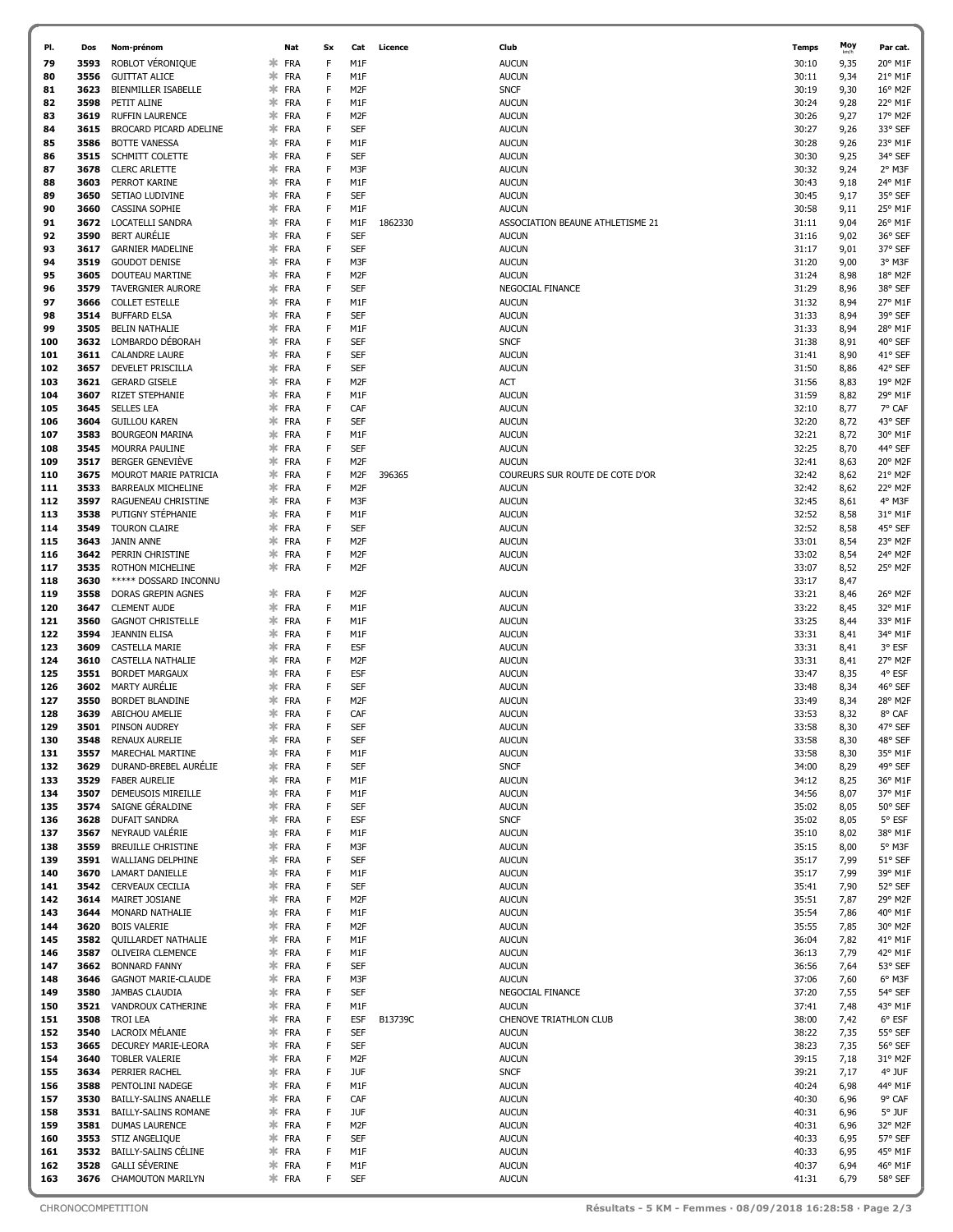| PI.        | Dos          | Nom-prénom                                     |             | Nat                      | Sx     | Cat                           | Licence | Club                                             | <b>Temps</b>   | Moy          | Par cat.           |
|------------|--------------|------------------------------------------------|-------------|--------------------------|--------|-------------------------------|---------|--------------------------------------------------|----------------|--------------|--------------------|
| 79         | 3593         | ROBLOT VÉRONIQUE                               | *           | <b>FRA</b>               | F      | M <sub>1</sub> F              |         | <b>AUCUN</b>                                     | 30:10          | 9,35         | 20° M1F            |
| 80         | 3556         | <b>GUITTAT ALICE</b>                           | *           | <b>FRA</b>               | F      | M1F                           |         | <b>AUCUN</b>                                     | 30:11          | 9,34         | 21° M1F            |
| 81         | 3623         | BIENMILLER ISABELLE                            | ∗           | <b>FRA</b>               | F      | M <sub>2F</sub>               |         | <b>SNCF</b>                                      | 30:19          | 9,30         | 16° M2F            |
| 82         | 3598         | PETIT ALINE                                    | ж.          | FRA                      | F      | M1F                           |         | <b>AUCUN</b>                                     | 30:24          | 9,28         | 22° M1F            |
| 83         | 3619         | <b>RUFFIN LAURENCE</b>                         | ∗           | <b>FRA</b>               | F      | M <sub>2F</sub>               |         | <b>AUCUN</b>                                     | 30:26          | 9,27         | 17° M2F            |
| 84         | 3615         | BROCARD PICARD ADELINE                         | ∗           | <b>FRA</b>               | F      | <b>SEF</b>                    |         | <b>AUCUN</b>                                     | 30:27          | 9,26         | 33° SEF            |
| 85         | 3586         | <b>BOTTE VANESSA</b>                           | ∗           | <b>FRA</b>               | F      | M1F                           |         | <b>AUCUN</b>                                     | 30:28          | 9,26         | 23° M1F            |
| 86         | 3515         | SCHMITT COLETTE                                | ∗           | <b>FRA</b>               | F      | <b>SEF</b>                    |         | <b>AUCUN</b>                                     | 30:30          | 9,25         | 34° SEF            |
| 87         | 3678         | <b>CLERC ARLETTE</b>                           | ∗           | <b>FRA</b>               | F      | M3F                           |         | <b>AUCUN</b>                                     | 30:32          | 9,24         | 2° M3F             |
| 88         | 3603         | PERROT KARINE                                  | $\ast$      | <b>FRA</b>               | F      | M1F                           |         | <b>AUCUN</b>                                     | 30:43          | 9,18         | 24° M1F            |
| 89         | 3650         | SETIAO LUDIVINE                                | ∗           | <b>FRA</b>               | F      | <b>SEF</b>                    |         | <b>AUCUN</b>                                     | 30:45          | 9,17         | 35° SEF            |
| 90         | 3660         | CASSINA SOPHIE                                 | $\ast$      | <b>FRA</b>               | F      | M1F                           |         | <b>AUCUN</b>                                     | 30:58          | 9,11         | 25° M1F            |
| 91<br>92   | 3672<br>3590 | LOCATELLI SANDRA<br><b>BERT AURÉLIE</b>        | $\ast$<br>∗ | <b>FRA</b><br><b>FRA</b> | F<br>F | M1F<br><b>SEF</b>             | 1862330 | ASSOCIATION BEAUNE ATHLETISME 21<br><b>AUCUN</b> | 31:11          | 9,04         | 26° M1F<br>36° SEF |
| 93         | 3617         | <b>GARNIER MADELINE</b>                        | $\ast$      | <b>FRA</b>               | F      | <b>SEF</b>                    |         | <b>AUCUN</b>                                     | 31:16<br>31:17 | 9,02<br>9,01 | 37° SEF            |
| 94         | 3519         | <b>GOUDOT DENISE</b>                           | ∗           | <b>FRA</b>               | F      | M3F                           |         | <b>AUCUN</b>                                     | 31:20          | 9,00         | 3° M3F             |
| 95         | 3605         | DOUTEAU MARTINE                                | ∗           | <b>FRA</b>               | F      | M <sub>2F</sub>               |         | <b>AUCUN</b>                                     | 31:24          | 8,98         | 18° M2F            |
| 96         | 3579         | TAVERGNIER AURORE                              | ж           | <b>FRA</b>               | F      | <b>SEF</b>                    |         | NEGOCIAL FINANCE                                 | 31:29          | 8,96         | 38° SEF            |
| 97         | 3666         | <b>COLLET ESTELLE</b>                          | ∗           | <b>FRA</b>               | F      | M1F                           |         | <b>AUCUN</b>                                     | 31:32          | 8,94         | 27° M1F            |
| 98         | 3514         | <b>BUFFARD ELSA</b>                            | ∗           | <b>FRA</b>               | F      | <b>SEF</b>                    |         | <b>AUCUN</b>                                     | 31:33          | 8,94         | 39° SEF            |
| 99         | 3505         | <b>BELIN NATHALIE</b>                          | ∗           | <b>FRA</b>               | F      | M1F                           |         | <b>AUCUN</b>                                     | 31:33          | 8,94         | 28° M1F            |
| 100        | 3632         | LOMBARDO DÉBORAH                               | ∗           | <b>FRA</b>               | F      | <b>SEF</b>                    |         | <b>SNCF</b>                                      | 31:38          | 8,91         | 40° SEF            |
| 101        | 3611         | <b>CALANDRE LAURE</b>                          | $\ast$      | <b>FRA</b>               | F      | <b>SEF</b>                    |         | <b>AUCUN</b>                                     | 31:41          | 8,90         | 41° SEF            |
| 102        | 3657         | DEVELET PRISCILLA                              | ∗           | <b>FRA</b>               | F      | <b>SEF</b>                    |         | <b>AUCUN</b>                                     | 31:50          | 8,86         | 42° SEF            |
| 103        | 3621         | <b>GERARD GISELE</b>                           | ∗           | <b>FRA</b>               | F      | M <sub>2F</sub>               |         | <b>ACT</b>                                       | 31:56          | 8,83         | 19° M2F            |
| 104        | 3607         | <b>RIZET STEPHANIE</b>                         | $\ast$      | <b>FRA</b>               | F      | M1F                           |         | <b>AUCUN</b>                                     | 31:59          | 8,82         | 29° M1F            |
| 105        | 3645         | <b>SELLES LEA</b>                              | ж           | <b>FRA</b>               | F      | CAF                           |         | <b>AUCUN</b>                                     | 32:10          | 8,77         | 7° CAF             |
| 106<br>107 | 3604<br>3583 | <b>GUILLOU KAREN</b><br><b>BOURGEON MARINA</b> | ж<br>∗      | <b>FRA</b><br><b>FRA</b> | F<br>F | <b>SEF</b><br>M1F             |         | <b>AUCUN</b><br><b>AUCUN</b>                     | 32:20<br>32:21 | 8,72<br>8,72 | 43° SEF<br>30° M1F |
| 108        | 3545         | MOURRA PAULINE                                 | ж           | <b>FRA</b>               | F      | <b>SEF</b>                    |         | <b>AUCUN</b>                                     | 32:25          | 8,70         | 44° SEF            |
| 109        | 3517         | BERGER GENEVIÈVE                               | ж           | <b>FRA</b>               | F      | M <sub>2F</sub>               |         | <b>AUCUN</b>                                     | 32:41          | 8,63         | 20° M2F            |
| 110        | 3675         | MOUROT MARIE PATRICIA                          | ∗           | <b>FRA</b>               | F      | M <sub>2F</sub>               | 396365  | COUREURS SUR ROUTE DE COTE D'OR                  | 32:42          | 8,62         | 21° M2F            |
| 111        | 3533         | BARREAUX MICHELINE                             | ∗           | <b>FRA</b>               | F      | M <sub>2F</sub>               |         | <b>AUCUN</b>                                     | 32:42          | 8,62         | 22° M2F            |
| 112        | 3597         | RAGUENEAU CHRISTINE                            | ж           | <b>FRA</b>               | F      | M3F                           |         | <b>AUCUN</b>                                     | 32:45          | 8,61         | 4° M3F             |
| 113        | 3538         | PUTIGNY STÉPHANIE                              | *           | <b>FRA</b>               | F      | M1F                           |         | <b>AUCUN</b>                                     | 32:52          | 8,58         | 31° M1F            |
| 114        | 3549         | <b>TOURON CLAIRE</b>                           | ∗           | <b>FRA</b>               | F      | <b>SEF</b>                    |         | <b>AUCUN</b>                                     | 32:52          | 8,58         | 45° SEF            |
| 115        | 3643         | JANIN ANNE                                     | ∗           | <b>FRA</b>               | F      | M <sub>2F</sub>               |         | <b>AUCUN</b>                                     | 33:01          | 8,54         | 23° M2F            |
| 116        | 3642         | PERRIN CHRISTINE                               | $\ast$      | <b>FRA</b>               | F      | M <sub>2F</sub>               |         | <b>AUCUN</b>                                     | 33:02          | 8,54         | 24° M2F            |
| 117        | 3535<br>3630 | ROTHON MICHELINE                               | $\ast$      | <b>FRA</b>               | F      | M <sub>2F</sub>               |         | <b>AUCUN</b>                                     | 33:07          | 8,52         | 25° M2F            |
| 118<br>119 | 3558         | ***** DOSSARD INCONNU<br>DORAS GREPIN AGNES    | ∗           | <b>FRA</b>               | F      | M <sub>2F</sub>               |         | <b>AUCUN</b>                                     | 33:17<br>33:21 | 8,47<br>8,46 | 26° M2F            |
| 120        | 3647         | <b>CLEMENT AUDE</b>                            | *           | <b>FRA</b>               | F      | M1F                           |         | <b>AUCUN</b>                                     | 33:22          | 8,45         | 32° M1F            |
| 121        | 3560         | <b>GAGNOT CHRISTELLE</b>                       | ∗           | <b>FRA</b>               | F      | M1F                           |         | <b>AUCUN</b>                                     | 33:25          | 8,44         | 33° M1F            |
| 122        | 3594         | <b>JEANNIN ELISA</b>                           | ж           | <b>FRA</b>               | F      | M1F                           |         | <b>AUCUN</b>                                     | 33:31          | 8,41         | 34° M1F            |
| 123        | 3609         | CASTELLA MARIE                                 | ∗           | <b>FRA</b>               | F      | <b>ESF</b>                    |         | <b>AUCUN</b>                                     | 33:31          | 8,41         | 3° ESF             |
| 124        | 3610         | CASTELLA NATHALIE                              | ∗           | <b>FRA</b>               | F      | M <sub>2F</sub>               |         | <b>AUCUN</b>                                     | 33:31          | 8,41         | 27° M2F            |
| 125        | 3551         | <b>BORDET MARGAUX</b>                          | ж           | <b>FRA</b>               | F      | <b>ESF</b>                    |         | <b>AUCUN</b>                                     | 33:47          | 8,35         | 4° ESF             |
| 126        | 3602         | <b>MARTY AURÉLIE</b>                           | ж           | <b>FRA</b>               | F      | <b>SEF</b>                    |         | <b>AUCUN</b>                                     | 33:48          | 8,34         | 46° SEF            |
| 127        | 3550         | BORDET BLANDINE                                | ж           | <b>FRA</b>               | F      | M <sub>2F</sub>               |         | <b>AUCUN</b>                                     | 33:49          | 8,34         | 28° M2F            |
| 128        | 3639         | ABICHOU AMELIE                                 | ∗           | <b>FRA</b>               | F      | CAF                           |         | <b>AUCUN</b>                                     | 33:53          | 8,32         | 8° CAF             |
| 129        | 3501         | PINSON AUDREY                                  | ж.          | <b>FRA</b>               | F      | <b>SEF</b>                    |         | <b>AUCUN</b>                                     | 33:58          | 8,30         | 47° SEF            |
| 130<br>131 | 3548<br>3557 | <b>RENAUX AURELIE</b><br>MARECHAL MARTINE      | ∗<br>$\ast$ | <b>FRA</b><br><b>FRA</b> | F<br>F | <b>SEF</b><br>M1F             |         | <b>AUCUN</b><br><b>AUCUN</b>                     | 33:58<br>33:58 | 8,30<br>8,30 | 48° SEF<br>35° M1F |
| 132        | 3629         | DURAND-BREBEL AURÉLIE                          | ∗           | <b>FRA</b>               | F      | <b>SEF</b>                    |         | <b>SNCF</b>                                      | 34:00          | 8,29         | 49° SEF            |
| 133        | 3529         | <b>FABER AURELIE</b>                           | *           | <b>FRA</b>               | F      | M1F                           |         | <b>AUCUN</b>                                     | 34:12          | 8,25         | 36° M1F            |
| 134        | 3507         | DEMEUSOIS MIREILLE                             | *           | <b>FRA</b>               | F      | M1F                           |         | <b>AUCUN</b>                                     | 34:56          | 8,07         | 37° M1F            |
| 135        | 3574         | SAIGNE GÉRALDINE                               | $\ast$      | <b>FRA</b>               | F      | <b>SEF</b>                    |         | <b>AUCUN</b>                                     | 35:02          | 8,05         | 50° SEF            |
| 136        | 3628         | <b>DUFAIT SANDRA</b>                           | *           | <b>FRA</b>               | F      | <b>ESF</b>                    |         | <b>SNCF</b>                                      | 35:02          | 8,05         | 5° ESF             |
| 137        | 3567         | NEYRAUD VALÉRIE                                | $\ast$      | <b>FRA</b>               | F      | M1F                           |         | <b>AUCUN</b>                                     | 35:10          | 8,02         | 38° M1F            |
| 138        | 3559         | BREUILLE CHRISTINE                             | $\ast$      | <b>FRA</b>               | F      | M3F                           |         | <b>AUCUN</b>                                     | 35:15          | 8,00         | 5° M3F             |
| 139        | 3591         | WALLIANG DELPHINE                              | *           | <b>FRA</b>               | F      | <b>SEF</b>                    |         | <b>AUCUN</b>                                     | 35:17          | 7,99         | 51° SEF            |
| 140        | 3670         | LAMART DANIELLE                                | ∗           | <b>FRA</b>               | F      | M1F                           |         | <b>AUCUN</b>                                     | 35:17          | 7,99         | 39° M1F            |
| 141<br>142 | 3542<br>3614 | CERVEAUX CECILIA<br>MAIRET JOSIANE             | ∗<br>$\ast$ | <b>FRA</b><br><b>FRA</b> | F<br>F | <b>SEF</b><br>M <sub>2F</sub> |         | <b>AUCUN</b><br><b>AUCUN</b>                     | 35:41<br>35:51 | 7,90<br>7,87 | 52° SEF<br>29° M2F |
| 143        | 3644         | MONARD NATHALIE                                | $\ast$      | <b>FRA</b>               | F      | M1F                           |         | <b>AUCUN</b>                                     | 35:54          | 7,86         | 40° M1F            |
| 144        | 3620         | <b>BOIS VALERIE</b>                            | $\ast$      | <b>FRA</b>               | F      | M <sub>2F</sub>               |         | <b>AUCUN</b>                                     | 35:55          | 7,85         | 30° M2F            |
| 145        | 3582         | QUILLARDET NATHALIE                            | ∗           | <b>FRA</b>               | F      | M1F                           |         | <b>AUCUN</b>                                     | 36:04          | 7,82         | 41° M1F            |
| 146        | 3587         | OLIVEIRA CLEMENCE                              | *           | <b>FRA</b>               | F      | M1F                           |         | <b>AUCUN</b>                                     | 36:13          | 7,79         | 42° M1F            |
| 147        | 3662         | <b>BONNARD FANNY</b>                           | ∗           | <b>FRA</b>               | F      | <b>SEF</b>                    |         | <b>AUCUN</b>                                     | 36:56          | 7,64         | 53° SEF            |
| 148        | 3646         | <b>GAGNOT MARIE-CLAUDE</b>                     | ∗           | <b>FRA</b>               | F      | M3F                           |         | <b>AUCUN</b>                                     | 37:06          | 7,60         | 6° M3F             |
| 149        | 3580         | JAMBAS CLAUDIA                                 | $\ast$      | <b>FRA</b>               | F      | <b>SEF</b>                    |         | NEGOCIAL FINANCE                                 | 37:20          | 7,55         | 54° SEF            |
| 150        | 3521         | VANDROUX CATHERINE                             | ∗           | <b>FRA</b>               | F      | M1F                           |         | <b>AUCUN</b>                                     | 37:41          | 7,48         | 43° M1F            |
| 151        | 3508         | TROI LEA                                       | $\ast$      | <b>FRA</b>               | F      | ESF                           | B13739C | CHENOVE TRIATHLON CLUB                           | 38:00          | 7,42         | 6° ESF             |
| 152<br>153 | 3540<br>3665 | LACROIX MÉLANIE                                | $\ast$<br>∗ | <b>FRA</b><br><b>FRA</b> | F<br>F | <b>SEF</b><br><b>SEF</b>      |         | <b>AUCUN</b>                                     | 38:22          | 7,35         | 55° SEF<br>56° SEF |
| 154        | 3640         | DECUREY MARIE-LEORA<br>TOBLER VALERIE          | $\ast$      | <b>FRA</b>               | F      | M <sub>2F</sub>               |         | <b>AUCUN</b><br><b>AUCUN</b>                     | 38:23<br>39:15 | 7,35<br>7,18 | 31° M2F            |
| 155        | 3634         | PERRIER RACHEL                                 | *           | <b>FRA</b>               | F      | <b>JUF</b>                    |         | <b>SNCF</b>                                      | 39:21          | 7,17         | 4° JUF             |
| 156        | 3588         | PENTOLINI NADEGE                               | *           | <b>FRA</b>               | F      | M1F                           |         | <b>AUCUN</b>                                     | 40:24          | 6,98         | 44° M1F            |
| 157        | 3530         | BAILLY-SALINS ANAELLE                          | $\ast$      | <b>FRA</b>               | F      | CAF                           |         | <b>AUCUN</b>                                     | 40:30          | 6,96         | 9° CAF             |
| 158        | 3531         | BAILLY-SALINS ROMANE                           | ∗           | <b>FRA</b>               | F      | <b>JUF</b>                    |         | <b>AUCUN</b>                                     | 40:31          | 6,96         | 5° JUF             |
| 159        | 3581         | <b>DUMAS LAURENCE</b>                          | ∗           | <b>FRA</b>               | F      | M <sub>2F</sub>               |         | <b>AUCUN</b>                                     | 40:31          | 6,96         | 32° M2F            |
| 160        | 3553         | STIZ ANGELIQUE                                 | ∗           | <b>FRA</b>               | F      | <b>SEF</b>                    |         | <b>AUCUN</b>                                     | 40:33          | 6,95         | 57° SEF            |
| 161        | 3532         | BAILLY-SALINS CÉLINE                           | ∗           | <b>FRA</b>               | F      | M1F                           |         | <b>AUCUN</b>                                     | 40:33          | 6,95         | 45° M1F            |
| 162        | 3528         | <b>GALLI SÉVERINE</b>                          | ∗.          | <b>FRA</b>               | F      | M1F                           |         | <b>AUCUN</b>                                     | 40:37          | 6,94         | 46° M1F            |
| 163        | 3676         | CHAMOUTON MARILYN                              |             | * FRA                    | F      | <b>SEF</b>                    |         | <b>AUCUN</b>                                     | 41:31          | 6,79         | 58° SEF            |